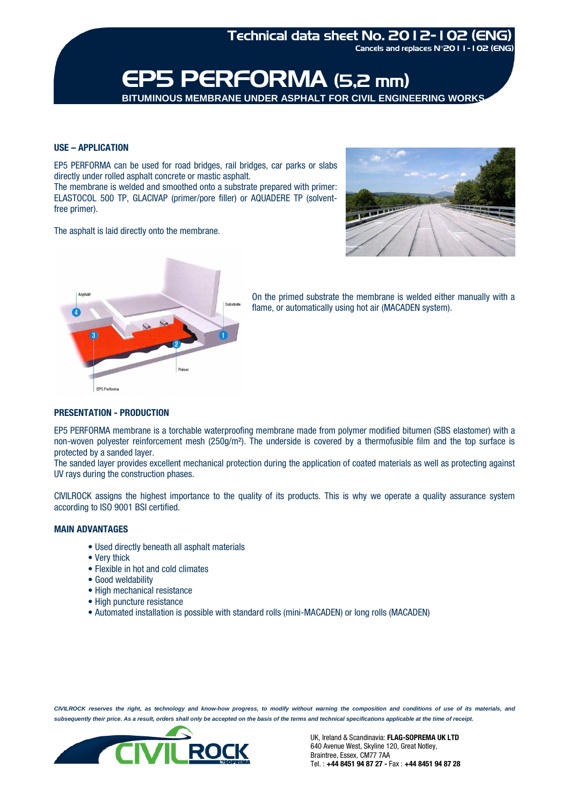

#### **USE – APPLICATION**

EP5 PERFORMA can be used for road bridges, rail bridges, car parks or slabs directly under rolled asphalt concrete or mastic asphalt.

The membrane is welded and smoothed onto a substrate prepared with primer: ELASTOCOL 500 TP, GLACIVAP (primer/pore filler) or AQUADERE TP (solventfree primer).

The asphalt is laid directly onto the membrane.





On the primed substrate the membrane is welded either manually with a flame, or automatically using hot air (MACADEN system).

#### **PRESENTATION - PRODUCTION**

EP5 PERFORMA membrane is a torchable waterproofing membrane made from polymer modified bitumen (SBS elastomer) with a non-woven polyester reinforcement mesh (250g/m²). The underside is covered by a thermofusible film and the top surface is protected by a sanded layer.

The sanded layer provides excellent mechanical protection during the application of coated materials as well as protecting against UV rays during the construction phases.

CIVILROCK assigns the highest importance to the quality of its products. This is why we operate a quality assurance system according to ISO 9001 BSI certified.

## **MAIN ADVANTAGES**

- Used directly beneath all asphalt materials
- Very thick
- Flexible in hot and cold climates
- Good weldability
- High mechanical resistance
- High puncture resistance
- Automated installation is possible with standard rolls (mini-MACADEN) or long rolls (MACADEN)

**CIVILROCK reserves the right, as technology and know-how progress, to modify without warning the composition and conditions of use of its materials, and**  subsequently their price. As a result, orders shall only be accepted on the basis of the terms and technical specifications applicable at the time of receipt.



UK, Ireland & Scandinavia: **FLAG-SOPREMA UK LTD** 640 Avenue West, Skyline 120, Great Notley, Braintree, Essex, CM77 7AA Tel. : **+44 8451 94 87 27 -** Fax : **+44 8451 94 87 28**